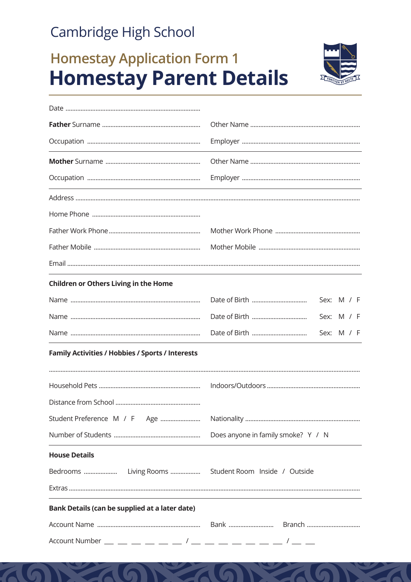### Cambridge High School

# **Homestay Application Form 1 Homestay Parent Details**



| <b>Children or Others Living in the Home</b>            |                                    |  |  |
|---------------------------------------------------------|------------------------------------|--|--|
|                                                         | Sex: M / F                         |  |  |
|                                                         | Sex: M / F                         |  |  |
|                                                         | Sex: M / F                         |  |  |
| <b>Family Activities / Hobbies / Sports / Interests</b> |                                    |  |  |
|                                                         |                                    |  |  |
|                                                         |                                    |  |  |
|                                                         |                                    |  |  |
|                                                         | Does anyone in family smoke? Y / N |  |  |
| <b>House Details</b>                                    |                                    |  |  |
| Bedrooms  Living Rooms  Student Room Inside / Outside   |                                    |  |  |
|                                                         |                                    |  |  |
| Bank Details (can be supplied at a later date)          |                                    |  |  |
|                                                         |                                    |  |  |
|                                                         |                                    |  |  |